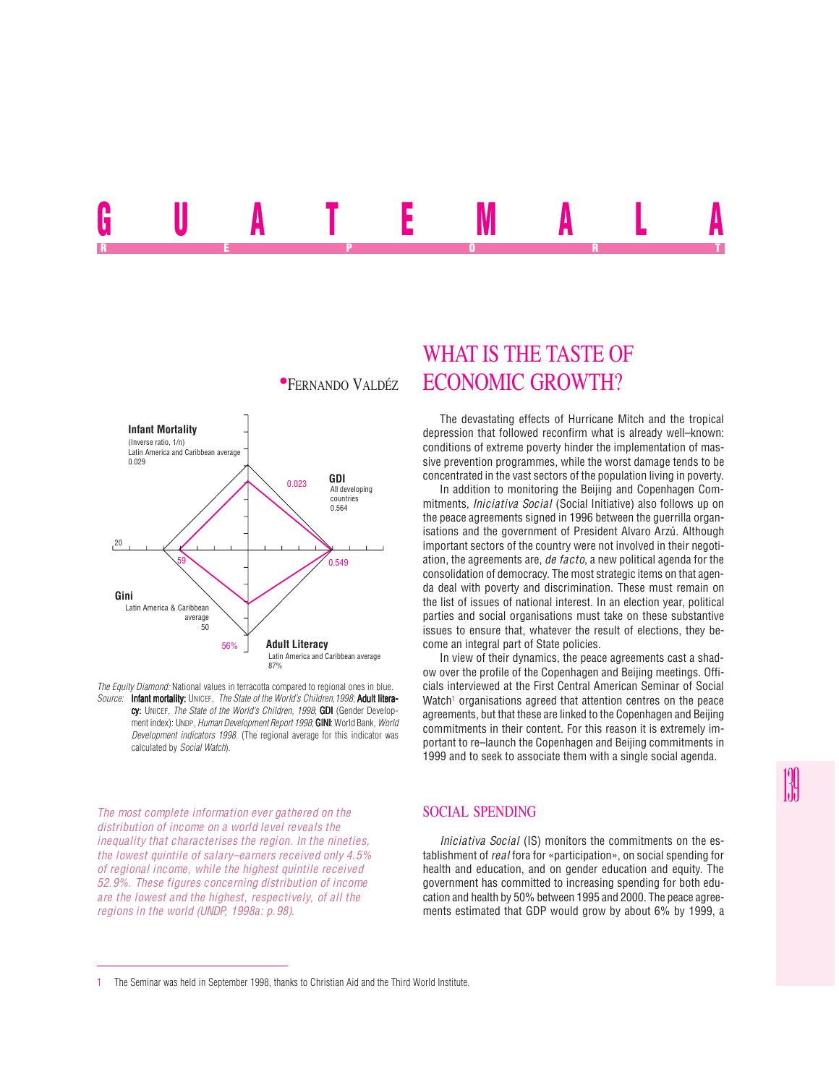# UUALE MALA REPORT OF STATE REPORT OF STATE REPORT OF STATE REPORT OF STATE REPORT OF STATE REPORT OF STATE REPORT OF STATE REPORT OF STATE REPORT OF STATE REPORT OF STATE REPORT OF STATE REPORT OF STATE REPORT OF STATE REPORT OF STAT



*The Equity Diamond:* National values in terracotta compared to regional ones in blue. *Source:* Infant mortality: UNICEF, *The State of the World's Children,1998*; Adult literacy: UNICEF, *The State of the World's Children, 1998*; **GDI** (Gender Development index): UNDP, *Human Development Report 1998*; **GINI:** World Bank, *World Development indicators 1998*. (The regional average for this indicator was calculated by *Social Watch*).

*The most complete information ever gathered on the distribution of income on a world level reveals the inequality that characterises the region. In the nineties, the lowest quintile of salary–earners received only 4.5% of regional income, while the highest quintile received 52.9%. These figures concerning distribution of income are the lowest and the highest, respectively, of all the regions in the world (UNDP, 1998a: p.98).*

## WHAT IS THE TASTE OF **\*FERNANDO VALDÉZ ECONOMIC GROWTH?**

The devastating effects of Hurricane Mitch and the tropical depression that followed reconfirm what is already well–known: conditions of extreme poverty hinder the implementation of massive prevention programmes, while the worst damage tends to be concentrated in the vast sectors of the population living in poverty.

In addition to monitoring the Beijing and Copenhagen Commitments, *Iniciativa Social* (Social Initiative) also follows up on the peace agreements signed in 1996 between the guerrilla organisations and the government of President Alvaro Arzú. Although important sectors of the country were not involved in their negotiation, the agreements are, *de facto*, a new political agenda for the consolidation of democracy. The most strategic items on that agenda deal with poverty and discrimination. These must remain on the list of issues of national interest. In an election year, political parties and social organisations must take on these substantive issues to ensure that, whatever the result of elections, they become an integral part of State policies.

In view of their dynamics, the peace agreements cast a shadow over the profile of the Copenhagen and Beijing meetings. Officials interviewed at the First Central American Seminar of Social Watch<sup>1</sup> organisations agreed that attention centres on the peace agreements, but that these are linked to the Copenhagen and Beijing commitments in their content. For this reason it is extremely important to re–launch the Copenhagen and Beijing commitments in 1999 and to seek to associate them with a single social agenda.

#### SOCIAL SPENDING

*Iniciativa Social* (IS) monitors the commitments on the establishment of *real* fora for «participation», on social spending for health and education, and on gender education and equity. The government has committed to increasing spending for both education and health by 50% between 1995 and 2000. The peace agreements estimated that GDP would grow by about 6% by 1999, a

<sup>1</sup> The Seminar was held in September 1998, thanks to Christian Aid and the Third World Institute.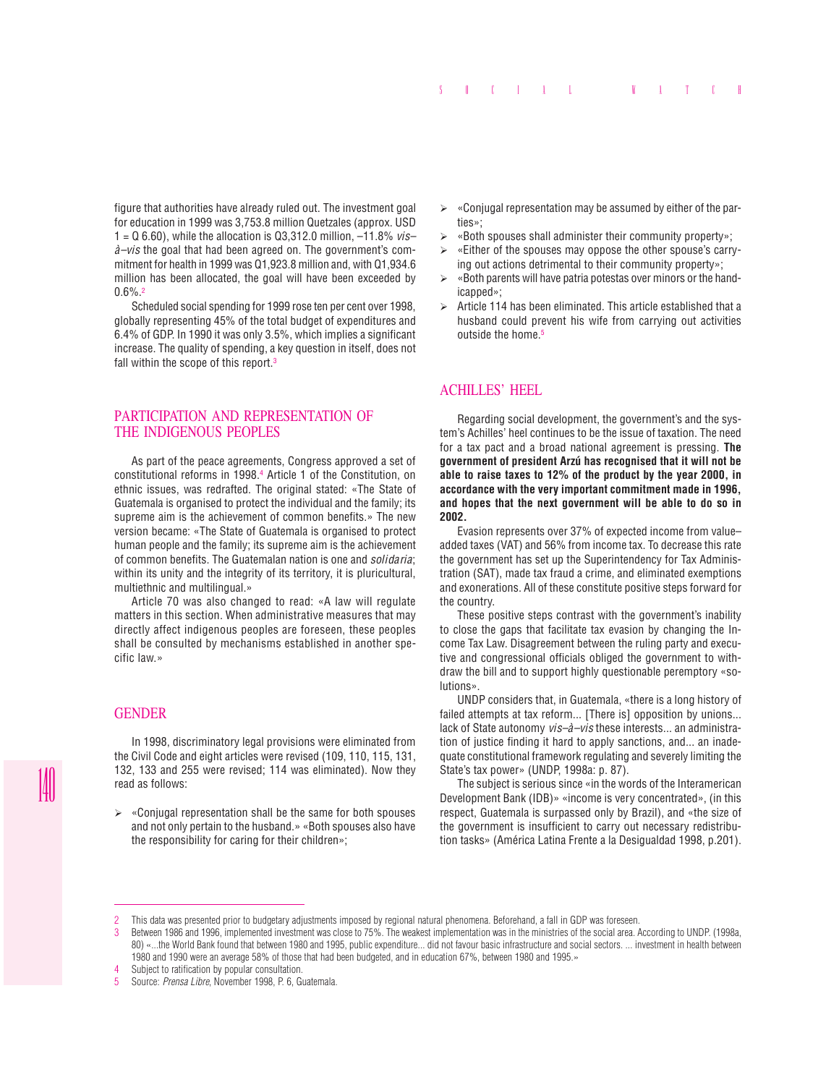figure that authorities have already ruled out. The investment goal for education in 1999 was 3,753.8 million Quetzales (approx. USD 1 = Q 6.60), while the allocation is Q3,312.0 million, –11.8% *vis– à–vis* the goal that had been agreed on. The government's commitment for health in 1999 was Q1,923.8 million and, with Q1,934.6 million has been allocated, the goal will have been exceeded by 0.6%.2

Scheduled social spending for 1999 rose ten per cent over 1998, globally representing 45% of the total budget of expenditures and 6.4% of GDP. In 1990 it was only 3.5%, which implies a significant increase. The quality of spending, a key question in itself, does not fall within the scope of this report.<sup>3</sup>

#### PARTICIPATION AND REPRESENTATION OF THE INDIGENOUS PEOPLES

As part of the peace agreements, Congress approved a set of constitutional reforms in 1998.4 Article 1 of the Constitution, on ethnic issues, was redrafted. The original stated: «The State of Guatemala is organised to protect the individual and the family; its supreme aim is the achievement of common benefits.» The new version became: «The State of Guatemala is organised to protect human people and the family; its supreme aim is the achievement of common benefits. The Guatemalan nation is one and *solidaria*; within its unity and the integrity of its territory, it is pluricultural, multiethnic and multilingual.»

Article 70 was also changed to read: «A law will regulate matters in this section. When administrative measures that may directly affect indigenous peoples are foreseen, these peoples shall be consulted by mechanisms established in another specific law.»

### GENDER

In 1998, discriminatory legal provisions were eliminated from the Civil Code and eight articles were revised (109, 110, 115, 131, 132, 133 and 255 were revised; 114 was eliminated). Now they read as follows:

 $\triangleright$  «Conjugal representation shall be the same for both spouses and not only pertain to the husband.» «Both spouses also have the responsibility for caring for their children»;

- $\triangleright$  «Conjugal representation may be assumed by either of the parties»;
- ¾ «Both spouses shall administer their community property»;
- $\triangleright$  «Either of the spouses may oppose the other spouse's carrying out actions detrimental to their community property»;
- ¾ «Both parents will have patria potestas over minors or the handicapped»;
- $\triangleright$  Article 114 has been eliminated. This article established that a husband could prevent his wife from carrying out activities outside the home.<sup>5</sup>

#### ACHILLES' HEEL

Regarding social development, the government's and the system's Achilles' heel continues to be the issue of taxation. The need for a tax pact and a broad national agreement is pressing. **The government of president Arzú has recognised that it will not be able to raise taxes to 12% of the product by the year 2000, in accordance with the very important commitment made in 1996, and hopes that the next government will be able to do so in 2002.**

Evasion represents over 37% of expected income from value– added taxes (VAT) and 56% from income tax. To decrease this rate the government has set up the Superintendency for Tax Administration (SAT), made tax fraud a crime, and eliminated exemptions and exonerations. All of these constitute positive steps forward for the country.

These positive steps contrast with the government's inability to close the gaps that facilitate tax evasion by changing the Income Tax Law. Disagreement between the ruling party and executive and congressional officials obliged the government to withdraw the bill and to support highly questionable peremptory «solutions».

UNDP considers that, in Guatemala, «there is a long history of failed attempts at tax reform... [There is] opposition by unions... lack of State autonomy *vis–à–vis* these interests... an administration of justice finding it hard to apply sanctions, and... an inadequate constitutional framework regulating and severely limiting the State's tax power» (UNDP, 1998a: p. 87).

The subject is serious since «in the words of the Interamerican Development Bank (IDB)» «income is very concentrated», (in this respect, Guatemala is surpassed only by Brazil), and «the size of the government is insufficient to carry out necessary redistribution tasks» (América Latina Frente a la Desigualdad 1998, p.201).

<sup>2</sup> This data was presented prior to budgetary adjustments imposed by regional natural phenomena. Beforehand, a fall in GDP was foreseen.

<sup>3</sup> Between 1986 and 1996, implemented investment was close to 75%. The weakest implementation was in the ministries of the social area. According to UNDP. (1998a, 80) «...the World Bank found that between 1980 and 1995, public expenditure... did not favour basic infrastructure and social sectors. ... investment in health between 1980 and 1990 were an average 58% of those that had been budgeted, and in education 67%, between 1980 and 1995.»

<sup>4</sup> Subject to ratification by popular consultation.<br>5 Source: *Prensa Libre*, November 1998, P.6. G.

<sup>5</sup> Source: *Prensa Libre*, November 1998, P. 6, Guatemala.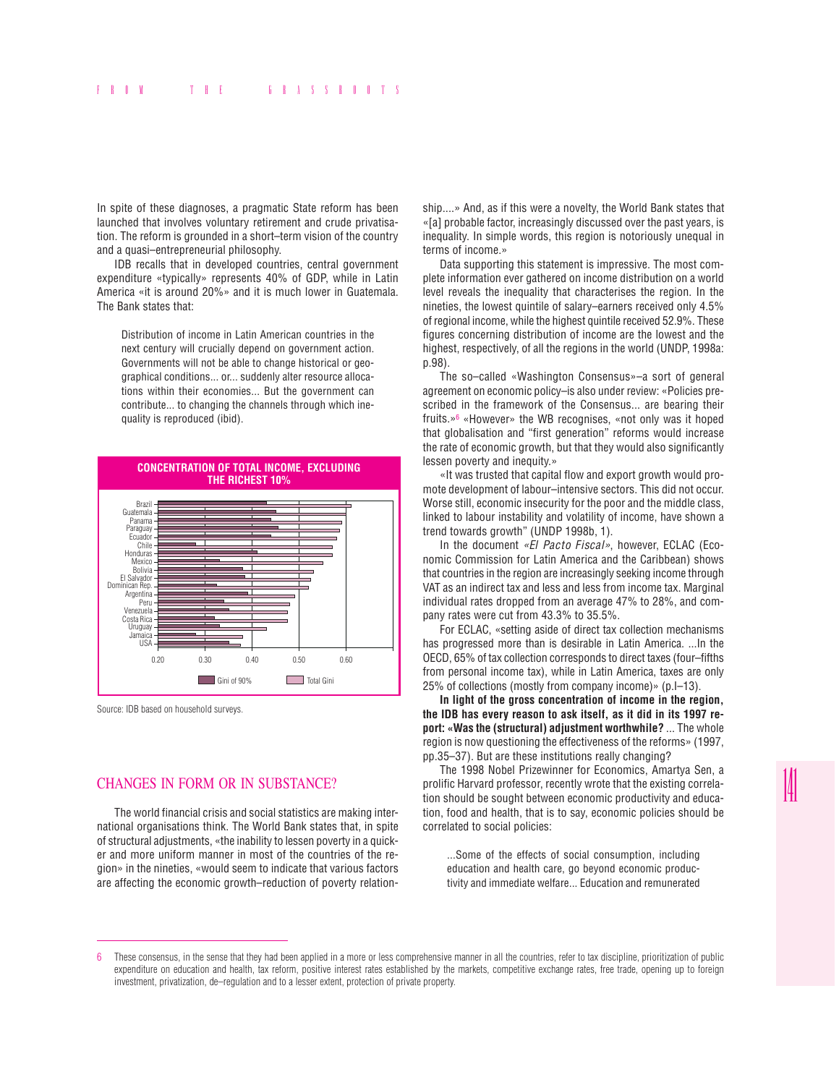In spite of these diagnoses, a pragmatic State reform has been launched that involves voluntary retirement and crude privatisation. The reform is grounded in a short–term vision of the country and a quasi–entrepreneurial philosophy.

IDB recalls that in developed countries, central government expenditure «typically» represents 40% of GDP, while in Latin America «it is around 20%» and it is much lower in Guatemala. The Bank states that:

Distribution of income in Latin American countries in the next century will crucially depend on government action. Governments will not be able to change historical or geographical conditions... or... suddenly alter resource allocations within their economies... But the government can contribute... to changing the channels through which inequality is reproduced (ibid).



Source: IDB based on household surveys.

### CHANGES IN FORM OR IN SUBSTANCE?

The world financial crisis and social statistics are making international organisations think. The World Bank states that, in spite of structural adjustments, «the inability to lessen poverty in a quicker and more uniform manner in most of the countries of the region» in the nineties, «would seem to indicate that various factors are affecting the economic growth–reduction of poverty relationship....» And, as if this were a novelty, the World Bank states that «[a] probable factor, increasingly discussed over the past years, is inequality. In simple words, this region is notoriously unequal in terms of income.»

Data supporting this statement is impressive. The most complete information ever gathered on income distribution on a world level reveals the inequality that characterises the region. In the nineties, the lowest quintile of salary–earners received only 4.5% of regional income, while the highest quintile received 52.9%. These figures concerning distribution of income are the lowest and the highest, respectively, of all the regions in the world (UNDP, 1998a: p.98).

The so–called «Washington Consensus»–a sort of general agreement on economic policy–is also under review: «Policies prescribed in the framework of the Consensus... are bearing their fruits.»6 «However» the WB recognises, «not only was it hoped that globalisation and "first generation" reforms would increase the rate of economic growth, but that they would also significantly lessen poverty and inequity.»

«It was trusted that capital flow and export growth would promote development of labour–intensive sectors. This did not occur. Worse still, economic insecurity for the poor and the middle class, linked to labour instability and volatility of income, have shown a trend towards growth" (UNDP 1998b, 1).

In the document *«El Pacto Fiscal»*, however, ECLAC (Economic Commission for Latin America and the Caribbean) shows that countries in the region are increasingly seeking income through VAT as an indirect tax and less and less from income tax. Marginal individual rates dropped from an average 47% to 28%, and company rates were cut from 43.3% to 35.5%.

For ECLAC, «setting aside of direct tax collection mechanisms has progressed more than is desirable in Latin America. ...In the OECD, 65% of tax collection corresponds to direct taxes (four–fifths from personal income tax), while in Latin America, taxes are only 25% of collections (mostly from company income)» (p.I–13).

**In light of the gross concentration of income in the region, the IDB has every reason to ask itself, as it did in its 1997 report: «Was the (structural) adjustment worthwhile?** ... The whole region is now questioning the effectiveness of the reforms» (1997, pp.35–37). But are these institutions really changing?

The 1998 Nobel Prizewinner for Economics, Amartya Sen, a prolific Harvard professor, recently wrote that the existing correlation should be sought between economic productivity and education, food and health, that is to say, economic policies should be correlated to social policies:

...Some of the effects of social consumption, including education and health care, go beyond economic productivity and immediate welfare... Education and remunerated

<sup>6</sup> These consensus, in the sense that they had been applied in a more or less comprehensive manner in all the countries, refer to tax discipline, prioritization of public expenditure on education and health, tax reform, positive interest rates established by the markets, competitive exchange rates, free trade, opening up to foreign investment, privatization, de–regulation and to a lesser extent, protection of private property.